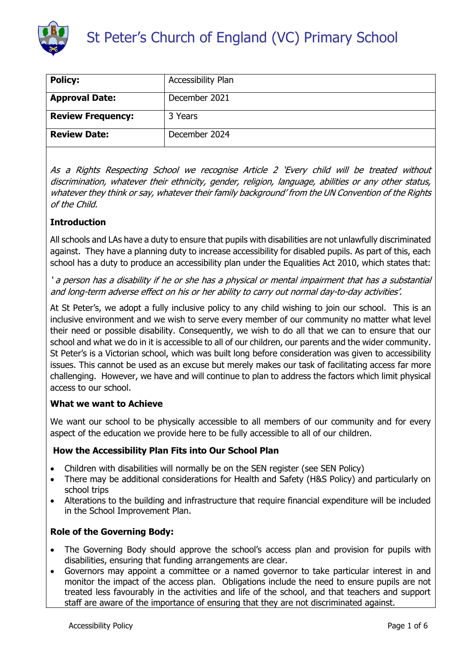

# St Peter's Church of England (VC) Primary School

| <b>Policy:</b>           | Accessibility Plan |  |  |  |  |
|--------------------------|--------------------|--|--|--|--|
| <b>Approval Date:</b>    | December 2021      |  |  |  |  |
| <b>Review Frequency:</b> | 3 Years            |  |  |  |  |
| <b>Review Date:</b>      | December 2024      |  |  |  |  |

As a Rights Respecting School we recognise Article 2 'Every child will be treated without discrimination, whatever their ethnicity, gender, religion, language, abilities or any other status, whatever they think or say, whatever their family background' from the UN Convention of the Rights of the Child.

### **Introduction**

All schools and LAs have a duty to ensure that pupils with disabilities are not unlawfully discriminated against. They have a planning duty to increase accessibility for disabled pupils. As part of this, each school has a duty to produce an accessibility plan under the Equalities Act 2010, which states that:

' a person has a disability if he or she has a physical or mental impairment that has a substantial and long-term adverse effect on his or her ability to carry out normal day-to-day activities'.

At St Peter's, we adopt a fully inclusive policy to any child wishing to join our school. This is an inclusive environment and we wish to serve every member of our community no matter what level their need or possible disability. Consequently, we wish to do all that we can to ensure that our school and what we do in it is accessible to all of our children, our parents and the wider community. St Peter's is a Victorian school, which was built long before consideration was given to accessibility issues. This cannot be used as an excuse but merely makes our task of facilitating access far more challenging. However, we have and will continue to plan to address the factors which limit physical access to our school.

### **What we want to Achieve**

We want our school to be physically accessible to all members of our community and for every aspect of the education we provide here to be fully accessible to all of our children.

### **How the Accessibility Plan Fits into Our School Plan**

- Children with disabilities will normally be on the SEN register (see SEN Policy)
- There may be additional considerations for Health and Safety (H&S Policy) and particularly on school trips
- Alterations to the building and infrastructure that require financial expenditure will be included in the School Improvement Plan.

### **Role of the Governing Body:**

- The Governing Body should approve the school's access plan and provision for pupils with disabilities, ensuring that funding arrangements are clear.
- Governors may appoint a committee or a named governor to take particular interest in and monitor the impact of the access plan. Obligations include the need to ensure pupils are not treated less favourably in the activities and life of the school, and that teachers and support staff are aware of the importance of ensuring that they are not discriminated against.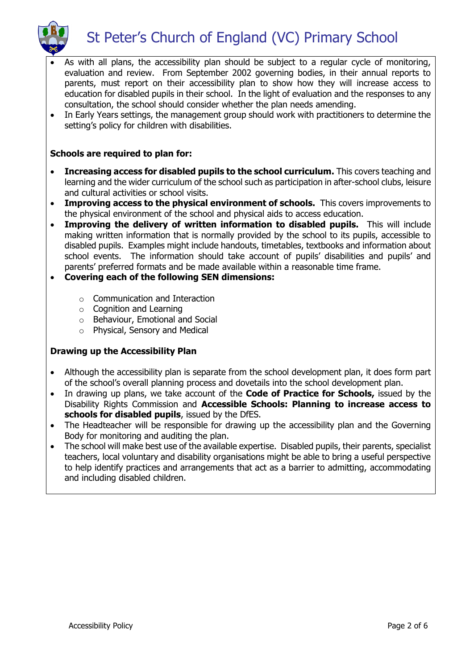

- As with all plans, the accessibility plan should be subject to a regular cycle of monitoring, evaluation and review. From September 2002 governing bodies, in their annual reports to parents, must report on their accessibility plan to show how they will increase access to education for disabled pupils in their school. In the light of evaluation and the responses to any consultation, the school should consider whether the plan needs amending.
- In Early Years settings, the management group should work with practitioners to determine the setting's policy for children with disabilities.

### **Schools are required to plan for:**

- **Increasing access for disabled pupils to the school curriculum.** This covers teaching and learning and the wider curriculum of the school such as participation in after-school clubs, leisure and cultural activities or school visits.
- **Improving access to the physical environment of schools.** This covers improvements to the physical environment of the school and physical aids to access education.
- **Improving the delivery of written information to disabled pupils.** This will include making written information that is normally provided by the school to its pupils, accessible to disabled pupils. Examples might include handouts, timetables, textbooks and information about school events. The information should take account of pupils' disabilities and pupils' and parents' preferred formats and be made available within a reasonable time frame.
- **Covering each of the following SEN dimensions:**
	- o Communication and Interaction
	- o Cognition and Learning
	- o Behaviour, Emotional and Social
	- o Physical, Sensory and Medical

### **Drawing up the Accessibility Plan**

- Although the accessibility plan is separate from the school development plan, it does form part of the school's overall planning process and dovetails into the school development plan.
- In drawing up plans, we take account of the **Code of Practice for Schools,** issued by the Disability Rights Commission and **Accessible Schools: Planning to increase access to schools for disabled pupils**, issued by the DfES.
- The Headteacher will be responsible for drawing up the accessibility plan and the Governing Body for monitoring and auditing the plan.
- The school will make best use of the available expertise. Disabled pupils, their parents, specialist teachers, local voluntary and disability organisations might be able to bring a useful perspective to help identify practices and arrangements that act as a barrier to admitting, accommodating and including disabled children.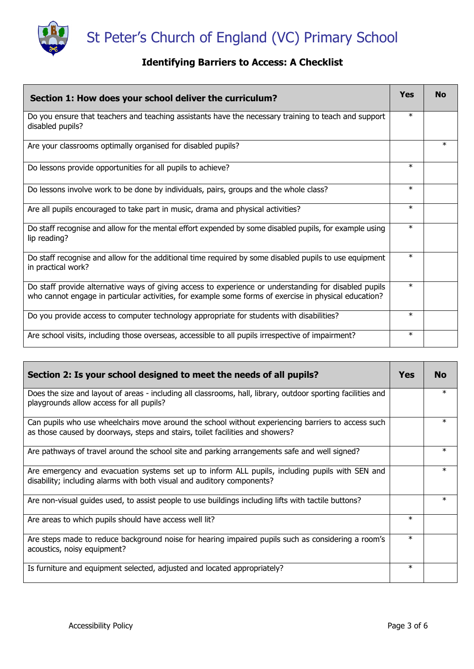

### **Identifying Barriers to Access: A Checklist**

| Section 1: How does your school deliver the curriculum?                                                                                                                                                        | <b>Yes</b> | <b>No</b> |
|----------------------------------------------------------------------------------------------------------------------------------------------------------------------------------------------------------------|------------|-----------|
| Do you ensure that teachers and teaching assistants have the necessary training to teach and support<br>disabled pupils?                                                                                       | $\ast$     |           |
| Are your classrooms optimally organised for disabled pupils?                                                                                                                                                   |            | $\ast$    |
| Do lessons provide opportunities for all pupils to achieve?                                                                                                                                                    | $\ast$     |           |
| Do lessons involve work to be done by individuals, pairs, groups and the whole class?                                                                                                                          | $\ast$     |           |
| Are all pupils encouraged to take part in music, drama and physical activities?                                                                                                                                | $\ast$     |           |
| Do staff recognise and allow for the mental effort expended by some disabled pupils, for example using<br>lip reading?                                                                                         | $\ast$     |           |
| Do staff recognise and allow for the additional time required by some disabled pupils to use equipment<br>in practical work?                                                                                   | $\ast$     |           |
| Do staff provide alternative ways of giving access to experience or understanding for disabled pupils<br>who cannot engage in particular activities, for example some forms of exercise in physical education? | $\ast$     |           |
| Do you provide access to computer technology appropriate for students with disabilities?                                                                                                                       | $\ast$     |           |
| Are school visits, including those overseas, accessible to all pupils irrespective of impairment?                                                                                                              | $\ast$     |           |

| Section 2: Is your school designed to meet the needs of all pupils?                                                                                                                 | <b>Yes</b> | <b>No</b> |
|-------------------------------------------------------------------------------------------------------------------------------------------------------------------------------------|------------|-----------|
| Does the size and layout of areas - including all classrooms, hall, library, outdoor sporting facilities and<br>playgrounds allow access for all pupils?                            |            | $\ast$    |
| Can pupils who use wheelchairs move around the school without experiencing barriers to access such<br>as those caused by doorways, steps and stairs, toilet facilities and showers? |            | $\ast$    |
| Are pathways of travel around the school site and parking arrangements safe and well signed?                                                                                        |            | $\ast$    |
| Are emergency and evacuation systems set up to inform ALL pupils, including pupils with SEN and<br>disability; including alarms with both visual and auditory components?           |            | $\ast$    |
| Are non-visual guides used, to assist people to use buildings including lifts with tactile buttons?                                                                                 |            | $\ast$    |
| Are areas to which pupils should have access well lit?                                                                                                                              | $\ast$     |           |
| Are steps made to reduce background noise for hearing impaired pupils such as considering a room's<br>acoustics, noisy equipment?                                                   | $\ast$     |           |
| Is furniture and equipment selected, adjusted and located appropriately?                                                                                                            | $\ast$     |           |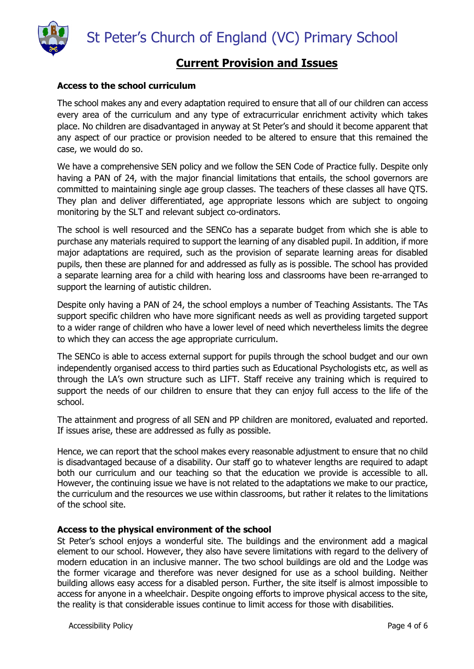St Peter's Church of England (VC) Primary School



### **Current Provision and Issues**

### **Access to the school curriculum**

The school makes any and every adaptation required to ensure that all of our children can access every area of the curriculum and any type of extracurricular enrichment activity which takes place. No children are disadvantaged in anyway at St Peter's and should it become apparent that any aspect of our practice or provision needed to be altered to ensure that this remained the case, we would do so.

We have a comprehensive SEN policy and we follow the SEN Code of Practice fully. Despite only having a PAN of 24, with the major financial limitations that entails, the school governors are committed to maintaining single age group classes. The teachers of these classes all have QTS. They plan and deliver differentiated, age appropriate lessons which are subject to ongoing monitoring by the SLT and relevant subject co-ordinators.

The school is well resourced and the SENCo has a separate budget from which she is able to purchase any materials required to support the learning of any disabled pupil. In addition, if more major adaptations are required, such as the provision of separate learning areas for disabled pupils, then these are planned for and addressed as fully as is possible. The school has provided a separate learning area for a child with hearing loss and classrooms have been re-arranged to support the learning of autistic children.

Despite only having a PAN of 24, the school employs a number of Teaching Assistants. The TAs support specific children who have more significant needs as well as providing targeted support to a wider range of children who have a lower level of need which nevertheless limits the degree to which they can access the age appropriate curriculum.

The SENCo is able to access external support for pupils through the school budget and our own independently organised access to third parties such as Educational Psychologists etc, as well as through the LA's own structure such as LIFT. Staff receive any training which is required to support the needs of our children to ensure that they can enjoy full access to the life of the school.

The attainment and progress of all SEN and PP children are monitored, evaluated and reported. If issues arise, these are addressed as fully as possible.

Hence, we can report that the school makes every reasonable adjustment to ensure that no child is disadvantaged because of a disability. Our staff go to whatever lengths are required to adapt both our curriculum and our teaching so that the education we provide is accessible to all. However, the continuing issue we have is not related to the adaptations we make to our practice, the curriculum and the resources we use within classrooms, but rather it relates to the limitations of the school site.

### **Access to the physical environment of the school**

St Peter's school enjoys a wonderful site. The buildings and the environment add a magical element to our school. However, they also have severe limitations with regard to the delivery of modern education in an inclusive manner. The two school buildings are old and the Lodge was the former vicarage and therefore was never designed for use as a school building. Neither building allows easy access for a disabled person. Further, the site itself is almost impossible to access for anyone in a wheelchair. Despite ongoing efforts to improve physical access to the site, the reality is that considerable issues continue to limit access for those with disabilities.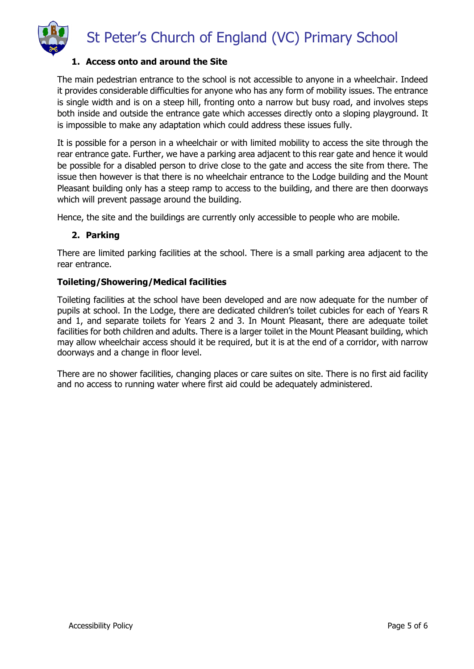

### **1. Access onto and around the Site**

The main pedestrian entrance to the school is not accessible to anyone in a wheelchair. Indeed it provides considerable difficulties for anyone who has any form of mobility issues. The entrance is single width and is on a steep hill, fronting onto a narrow but busy road, and involves steps both inside and outside the entrance gate which accesses directly onto a sloping playground. It is impossible to make any adaptation which could address these issues fully.

It is possible for a person in a wheelchair or with limited mobility to access the site through the rear entrance gate. Further, we have a parking area adjacent to this rear gate and hence it would be possible for a disabled person to drive close to the gate and access the site from there. The issue then however is that there is no wheelchair entrance to the Lodge building and the Mount Pleasant building only has a steep ramp to access to the building, and there are then doorways which will prevent passage around the building.

Hence, the site and the buildings are currently only accessible to people who are mobile.

### **2. Parking**

There are limited parking facilities at the school. There is a small parking area adjacent to the rear entrance.

### **Toileting/Showering/Medical facilities**

Toileting facilities at the school have been developed and are now adequate for the number of pupils at school. In the Lodge, there are dedicated children's toilet cubicles for each of Years R and 1, and separate toilets for Years 2 and 3. In Mount Pleasant, there are adequate toilet facilities for both children and adults. There is a larger toilet in the Mount Pleasant building, which may allow wheelchair access should it be required, but it is at the end of a corridor, with narrow doorways and a change in floor level.

There are no shower facilities, changing places or care suites on site. There is no first aid facility and no access to running water where first aid could be adequately administered.